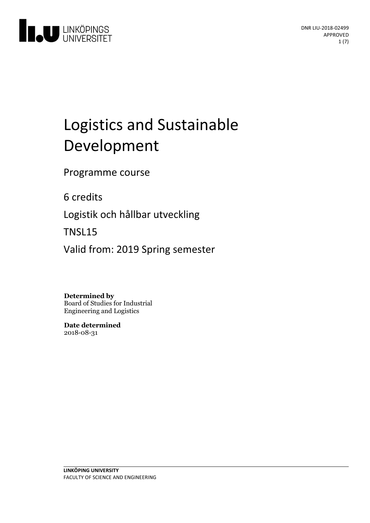

# Logistics and Sustainable Development

Programme course

6 credits

Logistik och hållbar utveckling

TNSL15

Valid from: 2019 Spring semester

**Determined by**

Board of Studies for Industrial Engineering and Logistics

**Date determined** 2018-08-31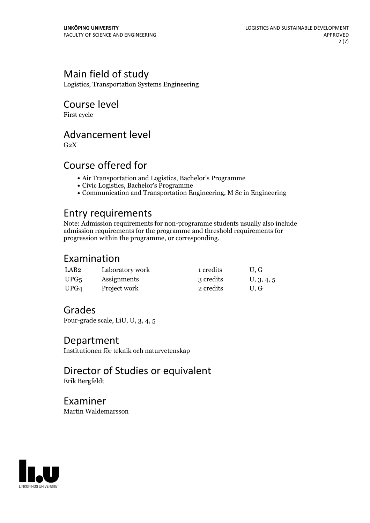# Main field of study

Logistics, Transportation Systems Engineering

## Course level

First cycle

# Advancement level

 $G<sub>2</sub>X$ 

# Course offered for

- Air Transportation and Logistics, Bachelor's Programme
- Civic Logistics, Bachelor's Programme
- Communication and Transportation Engineering, M Sc in Engineering

### Entry requirements

Note: Admission requirements for non-programme students usually also include admission requirements for the programme and threshold requirements for progression within the programme, or corresponding.

# Examination

| LAB <sub>2</sub> | Laboratory work | 1 credits | U.G        |
|------------------|-----------------|-----------|------------|
| UPG <sub>5</sub> | Assignments     | 3 credits | U, 3, 4, 5 |
| UPG4             | Project work    | 2 credits | U.G        |

# Grades

Four-grade scale, LiU, U, 3, 4, 5

### Department

Institutionen för teknik och naturvetenskap

Director of Studies or equivalent Erik Bergfeldt

Examiner Martin Waldemarsson

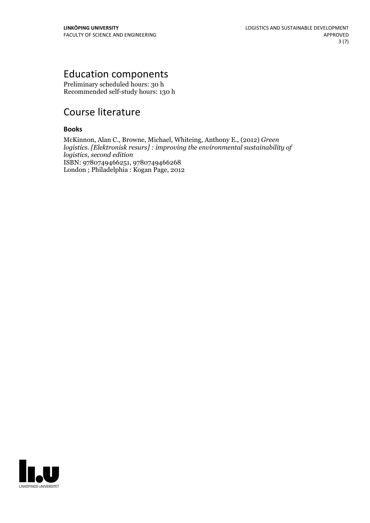# Education components

Preliminary scheduled hours: 30 h Recommended self-study hours: 130 h

# Course literature

### **Books**

McKinnon, Alan C., Browne, Michael, Whiteing, Anthony E., (2012) *Green logistics. [Elektronisk resurs] : improving the environmental sustainability of logistics, second edition* ISBN: 9780749466251, 9780749466268 London ; Philadelphia : Kogan Page, 2012

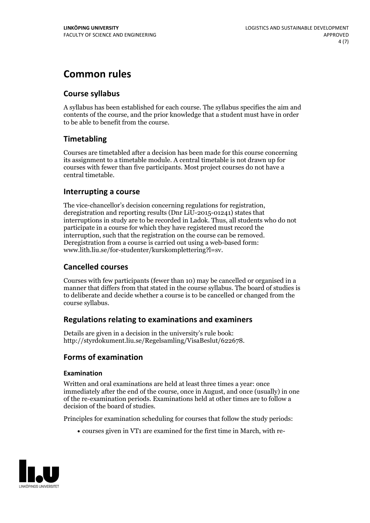# **Common rules**

### **Course syllabus**

A syllabus has been established for each course. The syllabus specifies the aim and contents of the course, and the prior knowledge that a student must have in order to be able to benefit from the course.

### **Timetabling**

Courses are timetabled after a decision has been made for this course concerning its assignment to a timetable module. A central timetable is not drawn up for courses with fewer than five participants. Most project courses do not have a central timetable.

### **Interrupting a course**

The vice-chancellor's decision concerning regulations for registration, deregistration and reporting results (Dnr LiU-2015-01241) states that interruptions in study are to be recorded in Ladok. Thus, all students who do not participate in a course for which they have registered must record the interruption, such that the registration on the course can be removed. Deregistration from <sup>a</sup> course is carried outusing <sup>a</sup> web-based form: www.lith.liu.se/for-studenter/kurskomplettering?l=sv.

### **Cancelled courses**

Courses with few participants (fewer than 10) may be cancelled or organised in a manner that differs from that stated in the course syllabus. The board of studies is to deliberate and decide whether a course is to be cancelled orchanged from the course syllabus.

### **Regulations relatingto examinations and examiners**

Details are given in a decision in the university's rule book: http://styrdokument.liu.se/Regelsamling/VisaBeslut/622678.

### **Forms of examination**

#### **Examination**

Written and oral examinations are held at least three times a year: once immediately after the end of the course, once in August, and once (usually) in one of the re-examination periods. Examinations held at other times are to follow a decision of the board of studies.

Principles for examination scheduling for courses that follow the study periods:

courses given in VT1 are examined for the first time in March, with re-

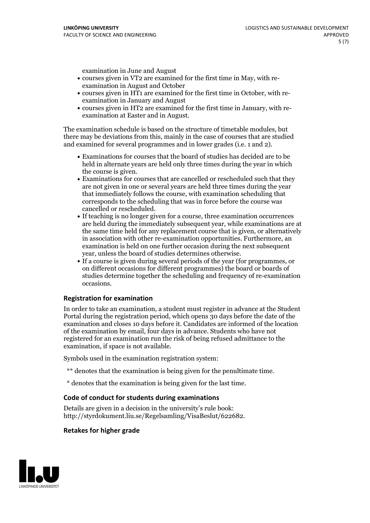examination in June and August

- courses given in VT2 are examined for the first time in May, with re-examination in August and October
- courses given in HT1 are examined for the first time in October, with re-examination in January and August
- courses given in HT2 are examined for the first time in January, with re-examination at Easter and in August.

The examination schedule is based on the structure of timetable modules, but there may be deviations from this, mainly in the case of courses that are studied and examined for several programmes and in lower grades (i.e. 1 and 2).

- Examinations for courses that the board of studies has decided are to be held in alternate years are held only three times during the year in which
- the course is given.<br>• Examinations for courses that are cancelled or rescheduled such that they are not given in one or several years are held three times during the year that immediately follows the course, with examination scheduling that corresponds to the scheduling that was in force before the course was cancelled or rescheduled.<br>• If teaching is no longer given for a course, three examination occurrences
- are held during the immediately subsequent year, while examinations are at the same time held for any replacement course that is given, or alternatively in association with other re-examination opportunities. Furthermore, an examination is held on one further occasion during the next subsequent year, unless the board of studies determines otherwise.<br>• If a course is given during several periods of the year (for programmes, or
- on different occasions for different programmes) the board orboards of studies determine together the scheduling and frequency of re-examination occasions.

#### **Registration for examination**

In order to take an examination, a student must register in advance at the Student Portal during the registration period, which opens 30 days before the date of the examination and closes 10 days before it. Candidates are informed of the location of the examination by email, four days in advance. Students who have not registered for an examination run the risk of being refused admittance to the examination, if space is not available.

Symbols used in the examination registration system:

- \*\* denotes that the examination is being given for the penultimate time.
- \* denotes that the examination is being given for the last time.

#### **Code of conduct for students during examinations**

Details are given in a decision in the university's rule book: http://styrdokument.liu.se/Regelsamling/VisaBeslut/622682.

#### **Retakes for higher grade**

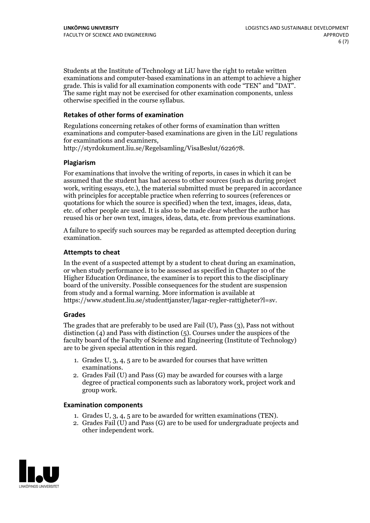Students at the Institute of Technology at LiU have the right to retake written examinations and computer-based examinations in an attempt to achieve a higher grade. This is valid for all examination components with code "TEN" and "DAT". The same right may not be exercised for other examination components, unless otherwise specified in the course syllabus.

#### **Retakes of other forms of examination**

Regulations concerning retakes of other forms of examination than written examinations and computer-based examinations are given in the LiU regulations for examinations and examiners, http://styrdokument.liu.se/Regelsamling/VisaBeslut/622678.

#### **Plagiarism**

For examinations that involve the writing of reports, in cases in which it can be assumed that the student has had access to other sources (such as during project work, writing essays, etc.), the material submitted must be prepared in accordance with principles for acceptable practice when referring to sources (references or quotations for which the source is specified) when the text, images, ideas, data, etc. of other people are used. It is also to be made clear whether the author has reused his or her own text, images, ideas, data, etc. from previous examinations.

A failure to specify such sources may be regarded as attempted deception during examination.

#### **Attempts to cheat**

In the event of <sup>a</sup> suspected attempt by <sup>a</sup> student to cheat during an examination, or when study performance is to be assessed as specified in Chapter <sup>10</sup> of the Higher Education Ordinance, the examiner is to report this to the disciplinary board of the university. Possible consequences for the student are suspension from study and a formal warning. More information is available at https://www.student.liu.se/studenttjanster/lagar-regler-rattigheter?l=sv.

#### **Grades**

The grades that are preferably to be used are Fail (U), Pass (3), Pass not without distinction  $(4)$  and Pass with distinction  $(5)$ . Courses under the auspices of the faculty board of the Faculty of Science and Engineering (Institute of Technology) are to be given special attention in this regard.

- 1. Grades U, 3, 4, 5 are to be awarded for courses that have written
- examinations. 2. Grades Fail (U) and Pass (G) may be awarded for courses with <sup>a</sup> large degree of practical components such as laboratory work, project work and group work.

#### **Examination components**

- 
- 1. Grades U, 3, 4, <sup>5</sup> are to be awarded for written examinations (TEN). 2. Grades Fail (U) and Pass (G) are to be used for undergraduate projects and other independent work.